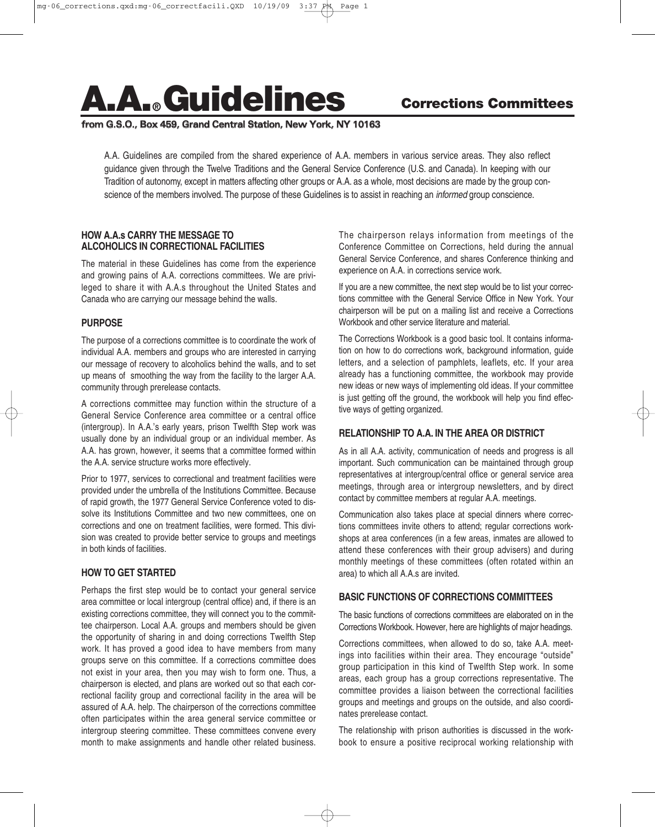# **A.A.® Guidelines**

## **from G.S.O., Box 459, Grand Central Station, New York, NY 10163**

A.A. Guidelines are compiled from the shared experience of A.A. members in various service areas. They also reflect guidance given through the Twelve Traditions and the General Service Conference (U.S. and Canada). In keeping with our Tradition of autonomy, except in matters affecting other groups or A.A. as a whole, most decisions are made by the group conscience of the members involved. The purpose of these Guidelines is to assist in reaching an *informed* group conscience.

#### **HOW A.A.s CARRY THE MESSAGE TO ALCOHOLICS IN CORRECTIONAL FACILITIES**

The material in these Guidelines has come from the experience and growing pains of A.A. corrections committees. We are privileged to share it with A.A.s throughout the United States and Canada who are carrying our message behind the walls.

## **PURPOSE**

The purpose of a corrections committee is to coordinate the work of individual A.A. members and groups who are interested in carrying our message of recovery to alcoholics behind the walls, and to set up means of smoothing the way from the facility to the larger A.A. community through prerelease contacts.

A corrections committee may function within the structure of a General Service Conference area committee or a central office (intergroup). In A.A.'s early years, prison Twelfth Step work was usually done by an individual group or an individual member. As A.A. has grown, however, it seems that a committee formed within the A.A. service structure works more effectively.

Prior to 1977, services to correctional and treatment facilities were provided under the umbrella of the Institutions Committee. Because of rapid growth, the 1977 General Service Conference voted to dissolve its Institutions Committee and two new committees, one on corrections and one on treatment facilities, were formed. This division was created to provide better service to groups and meetings in both kinds of facilities.

## **HOW TO GET STARTED**

Perhaps the first step would be to contact your general service area committee or local intergroup (central office) and, if there is an existing corrections committee, they will connect you to the committee chairperson. Local A.A. groups and members should be given the opportunity of sharing in and doing corrections Twelfth Step work. It has proved a good idea to have members from many groups serve on this committee. If a corrections committee does not exist in your area, then you may wish to form one. Thus, a chairperson is elected, and plans are worked out so that each correctional facility group and correctional facility in the area will be assured of A.A. help. The chairperson of the corrections committee often participates within the area general service committee or intergroup steering committee. These committees convene every month to make assignments and handle other related business. The chairperson relays information from meetings of the Conference Committee on Corrections, held during the annual General Service Conference, and shares Conference thinking and experience on A.A. in corrections service work.

If you are a new committee, the next step would be to list your corrections committee with the General Service Office in New York. Your chairperson will be put on a mailing list and receive a Corrections Workbook and other service literature and material.

The Corrections Workbook is a good basic tool. It contains information on how to do corrections work, background information, guide letters, and a selection of pamphlets, leaflets, etc. If your area already has a functioning committee, the workbook may provide new ideas or new ways of implementing old ideas. If your committee is just getting off the ground, the workbook will help you find effective ways of getting organized.

## **RELATIONSHIP TO A.A. IN THE AREA OR DISTRICT**

As in all A.A. activity, communication of needs and progress is all important. Such communication can be maintained through group representatives at intergroup/central office or general service area meetings, through area or intergroup newsletters, and by direct contact by committee members at regular A.A. meetings.

Communication also takes place at special dinners where corrections committees invite others to attend; regular corrections workshops at area conferences (in a few areas, inmates are allowed to attend these conferences with their group advisers) and during monthly meetings of these committees (often rotated within an area) to which all A.A.s are invited.

## **BASIC FUNCTIONS OF CORRECTIONS COMMITTEES**

The basic functions of corrections committees are elaborated on in the Corrections Workbook. However, here are highlights of major headings.

Corrections committees, when allowed to do so, take A.A. meetings into facilities within their area. They encourage "outside" group participation in this kind of Twelfth Step work. In some areas, each group has a group corrections representative. The committee provides a liaison between the correctional facilities groups and meetings and groups on the outside, and also coordinates prerelease contact.

The relationship with prison authorities is discussed in the workbook to ensure a positive reciprocal working relationship with